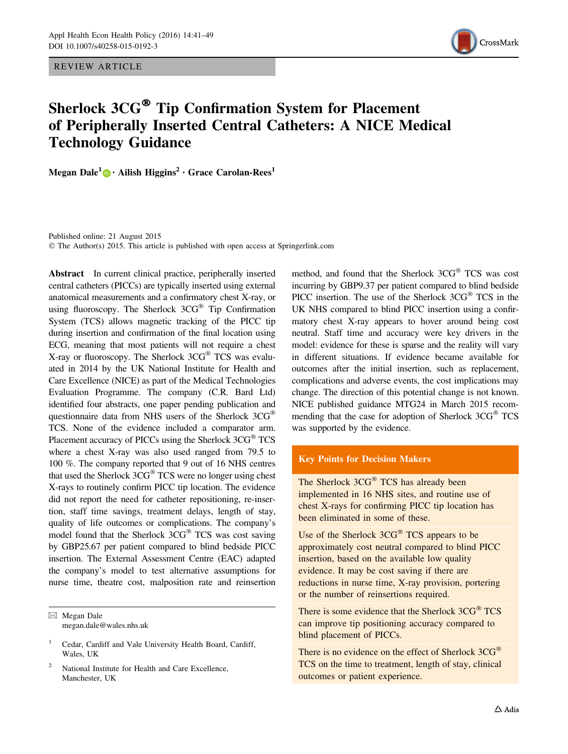REVIEW ARTICLE



# Sherlock 3CG® Tip Confirmation System for Placement of Peripherally Inserted Central Catheters: A NICE Medical Technology Guidance

Megan Dale<sup>1</sup> • Ailish Higgins<sup>2</sup> • Grace Carolan-Rees<sup>1</sup>

Published online: 21 August 2015 © The Author(s) 2015. This article is published with open access at Springerlink.com

Abstract In current clinical practice, peripherally inserted central catheters (PICCs) are typically inserted using external anatomical measurements and a confirmatory chest X-ray, or using fluoroscopy. The Sherlock  $3CG^{\circledast}$  Tip Confirmation System (TCS) allows magnetic tracking of the PICC tip during insertion and confirmation of the final location using ECG, meaning that most patients will not require a chest X-ray or fluoroscopy. The Sherlock  $3CG^{\circledast}$  TCS was evaluated in 2014 by the UK National Institute for Health and Care Excellence (NICE) as part of the Medical Technologies Evaluation Programme. The company (C.R. Bard Ltd) identified four abstracts, one paper pending publication and questionnaire data from NHS users of the Sherlock 3CG TCS. None of the evidence included a comparator arm. Placement accuracy of PICCs using the Sherlock 3CG<sup>®</sup> TCS where a chest X-ray was also used ranged from 79.5 to 100 %. The company reported that 9 out of 16 NHS centres that used the Sherlock  $3CG^{\circledast}$  TCS were no longer using chest X-rays to routinely confirm PICC tip location. The evidence did not report the need for catheter repositioning, re-insertion, staff time savings, treatment delays, length of stay, quality of life outcomes or complications. The company's model found that the Sherlock  $3CG^{\circledast}$  TCS was cost saving by GBP25.67 per patient compared to blind bedside PICC insertion. The External Assessment Centre (EAC) adapted the company's model to test alternative assumptions for nurse time, theatre cost, malposition rate and reinsertion

method, and found that the Sherlock  $3CG^{\circledast}$  TCS was cost incurring by GBP9.37 per patient compared to blind bedside PICC insertion. The use of the Sherlock  $3CG^{\circledast}$  TCS in the UK NHS compared to blind PICC insertion using a confirmatory chest X-ray appears to hover around being cost neutral. Staff time and accuracy were key drivers in the model: evidence for these is sparse and the reality will vary in different situations. If evidence became available for outcomes after the initial insertion, such as replacement, complications and adverse events, the cost implications may change. The direction of this potential change is not known. NICE published guidance MTG24 in March 2015 recommending that the case for adoption of Sherlock 3CG® TCS was supported by the evidence.

## Key Points for Decision Makers

The Sherlock 3CG® TCS has already been implemented in 16 NHS sites, and routine use of chest X-rays for confirming PICC tip location has been eliminated in some of these.

Use of the Sherlock  $3CG^{\circledast}$  TCS appears to be approximately cost neutral compared to blind PICC insertion, based on the available low quality evidence. It may be cost saving if there are reductions in nurse time, X-ray provision, portering or the number of reinsertions required.

There is some evidence that the Sherlock 3CG® TCS can improve tip positioning accuracy compared to blind placement of PICCs.

There is no evidence on the effect of Sherlock 3CG<sup>®</sup> TCS on the time to treatment, length of stay, clinical outcomes or patient experience.

 $\boxtimes$  Megan Dale megan.dale@wales.nhs.uk

<sup>1</sup> Cedar, Cardiff and Vale University Health Board, Cardiff, Wales, UK

National Institute for Health and Care Excellence, Manchester, UK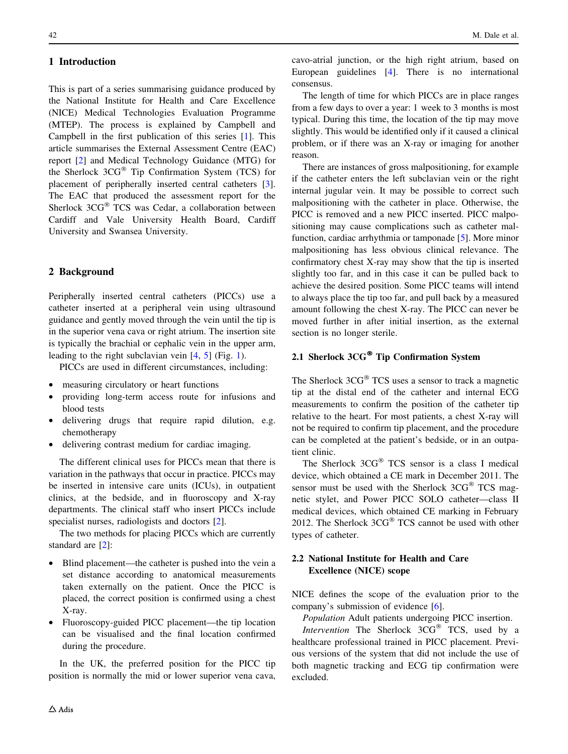# 1 Introduction

This is part of a series summarising guidance produced by the National Institute for Health and Care Excellence (NICE) Medical Technologies Evaluation Programme (MTEP). The process is explained by Campbell and Campbell in the first publication of this series [[1\]](#page-8-0). This article summarises the External Assessment Centre (EAC) report [\[2](#page-8-0)] and Medical Technology Guidance (MTG) for the Sherlock  $3CG^{\circledast}$  Tip Confirmation System (TCS) for placement of peripherally inserted central catheters [\[3](#page-8-0)]. The EAC that produced the assessment report for the Sherlock 3CG® TCS was Cedar, a collaboration between Cardiff and Vale University Health Board, Cardiff University and Swansea University.

# 2 Background

Peripherally inserted central catheters (PICCs) use a catheter inserted at a peripheral vein using ultrasound guidance and gently moved through the vein until the tip is in the superior vena cava or right atrium. The insertion site is typically the brachial or cephalic vein in the upper arm, leading to the right subclavian vein [[4,](#page-8-0) [5\]](#page-8-0) (Fig. [1\)](#page-2-0).

PICCs are used in different circumstances, including:

- measuring circulatory or heart functions
- providing long-term access route for infusions and blood tests
- delivering drugs that require rapid dilution, e.g. chemotherapy
- delivering contrast medium for cardiac imaging.

The different clinical uses for PICCs mean that there is variation in the pathways that occur in practice. PICCs may be inserted in intensive care units (ICUs), in outpatient clinics, at the bedside, and in fluoroscopy and X-ray departments. The clinical staff who insert PICCs include specialist nurses, radiologists and doctors [[2\]](#page-8-0).

The two methods for placing PICCs which are currently standard are [\[2](#page-8-0)]:

- Blind placement—the catheter is pushed into the vein a set distance according to anatomical measurements taken externally on the patient. Once the PICC is placed, the correct position is confirmed using a chest X-ray.
- Fluoroscopy-guided PICC placement—the tip location can be visualised and the final location confirmed during the procedure.

In the UK, the preferred position for the PICC tip position is normally the mid or lower superior vena cava, cavo-atrial junction, or the high right atrium, based on European guidelines [[4\]](#page-8-0). There is no international consensus.

The length of time for which PICCs are in place ranges from a few days to over a year: 1 week to 3 months is most typical. During this time, the location of the tip may move slightly. This would be identified only if it caused a clinical problem, or if there was an X-ray or imaging for another reason.

There are instances of gross malpositioning, for example if the catheter enters the left subclavian vein or the right internal jugular vein. It may be possible to correct such malpositioning with the catheter in place. Otherwise, the PICC is removed and a new PICC inserted. PICC malpositioning may cause complications such as catheter malfunction, cardiac arrhythmia or tamponade [[5\]](#page-8-0). More minor malpositioning has less obvious clinical relevance. The confirmatory chest X-ray may show that the tip is inserted slightly too far, and in this case it can be pulled back to achieve the desired position. Some PICC teams will intend to always place the tip too far, and pull back by a measured amount following the chest X-ray. The PICC can never be moved further in after initial insertion, as the external section is no longer sterile.

# 2.1 Sherlock 3CG® Tip Confirmation System

The Sherlock  $3CG^{\circledast}$  TCS uses a sensor to track a magnetic tip at the distal end of the catheter and internal ECG measurements to confirm the position of the catheter tip relative to the heart. For most patients, a chest X-ray will not be required to confirm tip placement, and the procedure can be completed at the patient's bedside, or in an outpatient clinic.

The Sherlock  $3CG^{\circledast}$  TCS sensor is a class I medical device, which obtained a CE mark in December 2011. The sensor must be used with the Sherlock  $3CG^{\circledast}$  TCS magnetic stylet, and Power PICC SOLO catheter—class II medical devices, which obtained CE marking in February 2012. The Sherlock  $3CG^{\circledast}$  TCS cannot be used with other types of catheter.

# 2.2 National Institute for Health and Care Excellence (NICE) scope

NICE defines the scope of the evaluation prior to the company's submission of evidence [[6\]](#page-8-0).

Population Adult patients undergoing PICC insertion.

Intervention The Sherlock  $3CG^{\circledR}$  TCS, used by a healthcare professional trained in PICC placement. Previous versions of the system that did not include the use of both magnetic tracking and ECG tip confirmation were excluded.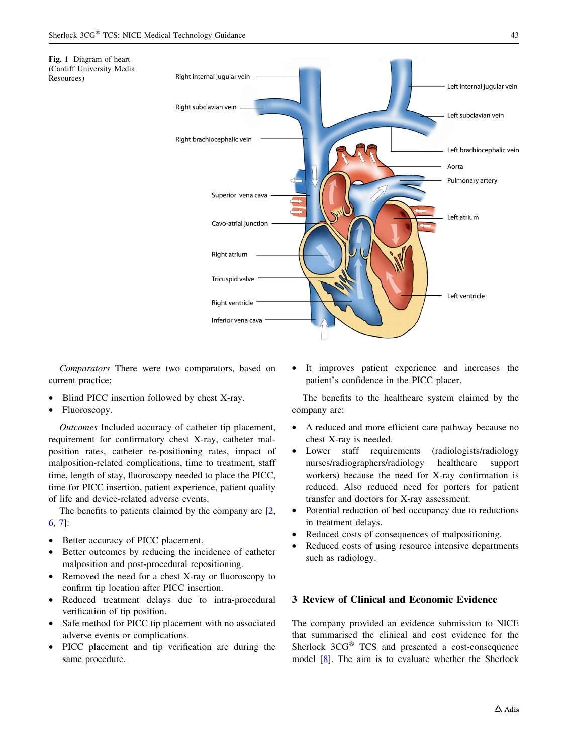<span id="page-2-0"></span>Fig. 1 Diagram of heart (Cardiff University Media

Resources)



Comparators There were two comparators, based on current practice:

- Blind PICC insertion followed by chest X-ray.
- Fluoroscopy.

Outcomes Included accuracy of catheter tip placement, requirement for confirmatory chest X-ray, catheter malposition rates, catheter re-positioning rates, impact of malposition-related complications, time to treatment, staff time, length of stay, fluoroscopy needed to place the PICC, time for PICC insertion, patient experience, patient quality of life and device-related adverse events.

The benefits to patients claimed by the company are  $[2, 1]$  $[2, 1]$  $[2, 1]$ [6](#page-8-0), [7\]](#page-8-0):

- Better accuracy of PICC placement.
- Better outcomes by reducing the incidence of catheter malposition and post-procedural repositioning.
- Removed the need for a chest X-ray or fluoroscopy to confirm tip location after PICC insertion.
- Reduced treatment delays due to intra-procedural verification of tip position.
- Safe method for PICC tip placement with no associated adverse events or complications.
- PICC placement and tip verification are during the same procedure.

It improves patient experience and increases the patient's confidence in the PICC placer.

The benefits to the healthcare system claimed by the company are:

- A reduced and more efficient care pathway because no chest X-ray is needed.
- Lower staff requirements (radiologists/radiology nurses/radiographers/radiology healthcare support workers) because the need for X-ray confirmation is reduced. Also reduced need for porters for patient transfer and doctors for X-ray assessment.
- Potential reduction of bed occupancy due to reductions in treatment delays.
- Reduced costs of consequences of malpositioning.
- Reduced costs of using resource intensive departments such as radiology.

# 3 Review of Clinical and Economic Evidence

The company provided an evidence submission to NICE that summarised the clinical and cost evidence for the Sherlock  $3CG^{\circledast}$  TCS and presented a cost-consequence model [[8](#page-8-0)]. The aim is to evaluate whether the Sherlock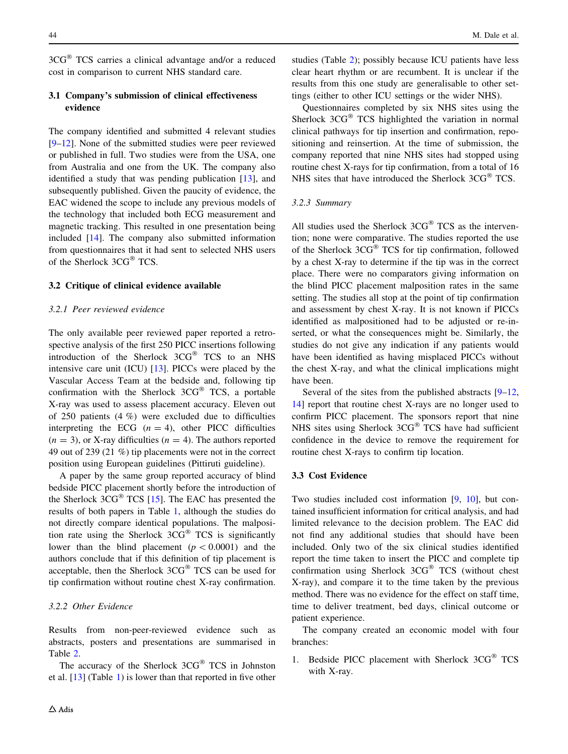$3CG^{\circledR}$  TCS carries a clinical advantage and/or a reduced cost in comparison to current NHS standard care.

# 3.1 Company's submission of clinical effectiveness evidence

The company identified and submitted 4 relevant studies [\[9–12](#page-8-0)]. None of the submitted studies were peer reviewed or published in full. Two studies were from the USA, one from Australia and one from the UK. The company also identified a study that was pending publication [[13\]](#page-8-0), and subsequently published. Given the paucity of evidence, the EAC widened the scope to include any previous models of the technology that included both ECG measurement and magnetic tracking. This resulted in one presentation being included [[14\]](#page-8-0). The company also submitted information from questionnaires that it had sent to selected NHS users of the Sherlock 3CG® TCS.

# 3.2 Critique of clinical evidence available

#### 3.2.1 Peer reviewed evidence

The only available peer reviewed paper reported a retrospective analysis of the first 250 PICC insertions following introduction of the Sherlock 3CG® TCS to an NHS intensive care unit (ICU) [\[13](#page-8-0)]. PICCs were placed by the Vascular Access Team at the bedside and, following tip confirmation with the Sherlock  $3CG^{\circledast}$  TCS, a portable X-ray was used to assess placement accuracy. Eleven out of 250 patients (4 %) were excluded due to difficulties interpreting the ECG  $(n = 4)$ , other PICC difficulties  $(n = 3)$ , or X-ray difficulties  $(n = 4)$ . The authors reported 49 out of 239 (21 %) tip placements were not in the correct position using European guidelines (Pittiruti guideline).

A paper by the same group reported accuracy of blind bedside PICC placement shortly before the introduction of the Sherlock  $3CG^{\circledast}$  TCS [[15\]](#page-8-0). The EAC has presented the results of both papers in Table [1,](#page-4-0) although the studies do not directly compare identical populations. The malposition rate using the Sherlock  $3CG^{\circledast}$  TCS is significantly lower than the blind placement  $(p<0.0001)$  and the authors conclude that if this definition of tip placement is acceptable, then the Sherlock  $3CG^{\circledast}$  TCS can be used for tip confirmation without routine chest X-ray confirmation.

## 3.2.2 Other Evidence

Results from non-peer-reviewed evidence such as abstracts, posters and presentations are summarised in Table [2](#page-5-0).

The accuracy of the Sherlock  $3CG^{\circledast}$  TCS in Johnston et al. [[13\]](#page-8-0) (Table [1\)](#page-4-0) is lower than that reported in five other studies (Table [2\)](#page-5-0); possibly because ICU patients have less clear heart rhythm or are recumbent. It is unclear if the results from this one study are generalisable to other settings (either to other ICU settings or the wider NHS).

Questionnaires completed by six NHS sites using the Sherlock  $3CG^{\circledast}$  TCS highlighted the variation in normal clinical pathways for tip insertion and confirmation, repositioning and reinsertion. At the time of submission, the company reported that nine NHS sites had stopped using routine chest X-rays for tip confirmation, from a total of 16 NHS sites that have introduced the Sherlock  $3CG^{\circledast}$  TCS.

#### 3.2.3 Summary

All studies used the Sherlock  $3CG^{\circledast}$  TCS as the intervention; none were comparative. The studies reported the use of the Sherlock  $3CG^{\circledast}$  TCS for tip confirmation, followed by a chest X-ray to determine if the tip was in the correct place. There were no comparators giving information on the blind PICC placement malposition rates in the same setting. The studies all stop at the point of tip confirmation and assessment by chest X-ray. It is not known if PICCs identified as malpositioned had to be adjusted or re-inserted, or what the consequences might be. Similarly, the studies do not give any indication if any patients would have been identified as having misplaced PICCs without the chest X-ray, and what the clinical implications might have been.

Several of the sites from the published abstracts  $[9-12, 12]$ [14](#page-8-0)] report that routine chest X-rays are no longer used to confirm PICC placement. The sponsors report that nine NHS sites using Sherlock  $3CG^{\circledast}$  TCS have had sufficient confidence in the device to remove the requirement for routine chest X-rays to confirm tip location.

# 3.3 Cost Evidence

Two studies included cost information [[9,](#page-8-0) [10\]](#page-8-0), but contained insufficient information for critical analysis, and had limited relevance to the decision problem. The EAC did not find any additional studies that should have been included. Only two of the six clinical studies identified report the time taken to insert the PICC and complete tip confirmation using Sherlock  $3CG^{\circledast}$  TCS (without chest X-ray), and compare it to the time taken by the previous method. There was no evidence for the effect on staff time, time to deliver treatment, bed days, clinical outcome or patient experience.

The company created an economic model with four branches:

1. Bedside PICC placement with Sherlock 3CG® TCS with X-ray.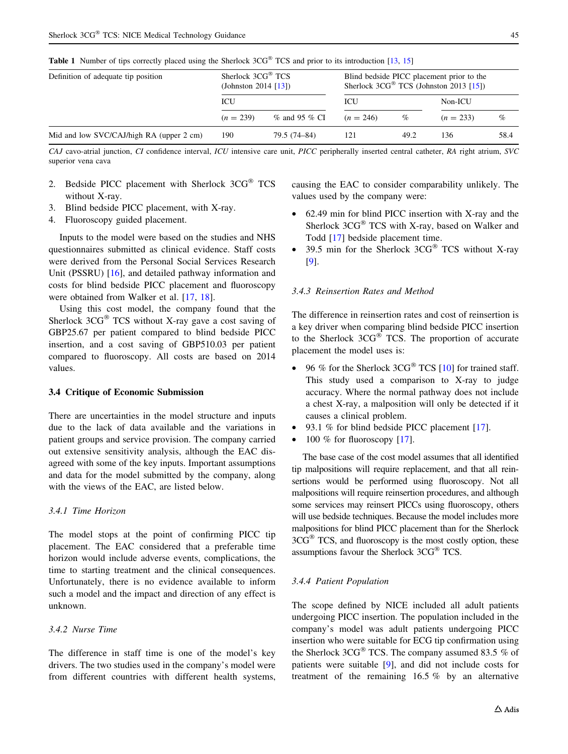<span id="page-4-0"></span>

| Definition of adequate tip position      | Sherlock $3CG^{\circledR}$ TCS<br>(Johnston 2014 $[13]$ ) |                     |             | Blind bedside PICC placement prior to the<br>Sherlock $3CG^{\circledast}$ TCS (Johnston 2013 [15]) |             |      |
|------------------------------------------|-----------------------------------------------------------|---------------------|-------------|----------------------------------------------------------------------------------------------------|-------------|------|
|                                          | ICU                                                       | ICU                 |             | Non-ICU                                                                                            |             |      |
|                                          | $(n = 239)$                                               | $\%$ and 95 $\%$ CI | $(n = 246)$ | $\%$                                                                                               | $(n = 233)$ | $\%$ |
| Mid and low SVC/CAJ/high RA (upper 2 cm) | 190                                                       | 79.5 (74–84)        | 121         | 49.2                                                                                               | 136         | 58.4 |

CAJ cavo-atrial junction, CI confidence interval, ICU intensive care unit, PICC peripherally inserted central catheter, RA right atrium, SVC superior vena cava

- 2. Bedside PICC placement with Sherlock 3CG® TCS without X-ray.
- 3. Blind bedside PICC placement, with X-ray.
- 4. Fluoroscopy guided placement.

Inputs to the model were based on the studies and NHS questionnaires submitted as clinical evidence. Staff costs were derived from the Personal Social Services Research Unit (PSSRU) [\[16](#page-8-0)], and detailed pathway information and costs for blind bedside PICC placement and fluoroscopy were obtained from Walker et al. [\[17](#page-8-0), [18](#page-8-0)].

Using this cost model, the company found that the Sherlock  $3CG^{\circledast}$  TCS without X-ray gave a cost saving of GBP25.67 per patient compared to blind bedside PICC insertion, and a cost saving of GBP510.03 per patient compared to fluoroscopy. All costs are based on 2014 values.

#### 3.4 Critique of Economic Submission

There are uncertainties in the model structure and inputs due to the lack of data available and the variations in patient groups and service provision. The company carried out extensive sensitivity analysis, although the EAC disagreed with some of the key inputs. Important assumptions and data for the model submitted by the company, along with the views of the EAC, are listed below.

#### 3.4.1 Time Horizon

The model stops at the point of confirming PICC tip placement. The EAC considered that a preferable time horizon would include adverse events, complications, the time to starting treatment and the clinical consequences. Unfortunately, there is no evidence available to inform such a model and the impact and direction of any effect is unknown.

# 3.4.2 Nurse Time

The difference in staff time is one of the model's key drivers. The two studies used in the company's model were from different countries with different health systems,

causing the EAC to consider comparability unlikely. The values used by the company were:

- 62.49 min for blind PICC insertion with X-ray and the Sherlock  $3CG^{\circledast}$  TCS with X-ray, based on Walker and Todd [\[17](#page-8-0)] bedside placement time.
- 39.5 min for the Sherlock  $3CG^{\circledast}$  TCS without X-ray [\[9\]](#page-8-0).

#### 3.4.3 Reinsertion Rates and Method

The difference in reinsertion rates and cost of reinsertion is a key driver when comparing blind bedside PICC insertion to the Sherlock  $3CG^{\circledast}$  TCS. The proportion of accurate placement the model uses is:

- 96 % for the Sherlock  $3CG^{\circledast}$  TCS [\[10](#page-8-0)] for trained staff. This study used a comparison to X-ray to judge accuracy. Where the normal pathway does not include a chest X-ray, a malposition will only be detected if it causes a clinical problem.
- 93.1 % for blind bedside PICC placement [\[17](#page-8-0)].
- 100 % for fluoroscopy  $[17]$  $[17]$ .

The base case of the cost model assumes that all identified tip malpositions will require replacement, and that all reinsertions would be performed using fluoroscopy. Not all malpositions will require reinsertion procedures, and although some services may reinsert PICCs using fluoroscopy, others will use bedside techniques. Because the model includes more malpositions for blind PICC placement than for the Sherlock  $3CG^{\circledast}$  TCS, and fluoroscopy is the most costly option, these assumptions favour the Sherlock  $3CG^{\circledast}$  TCS.

#### 3.4.4 Patient Population

The scope defined by NICE included all adult patients undergoing PICC insertion. The population included in the company's model was adult patients undergoing PICC insertion who were suitable for ECG tip confirmation using the Sherlock  $3CG^{\circledast}$  TCS. The company assumed 83.5 % of patients were suitable [[9\]](#page-8-0), and did not include costs for treatment of the remaining 16.5 % by an alternative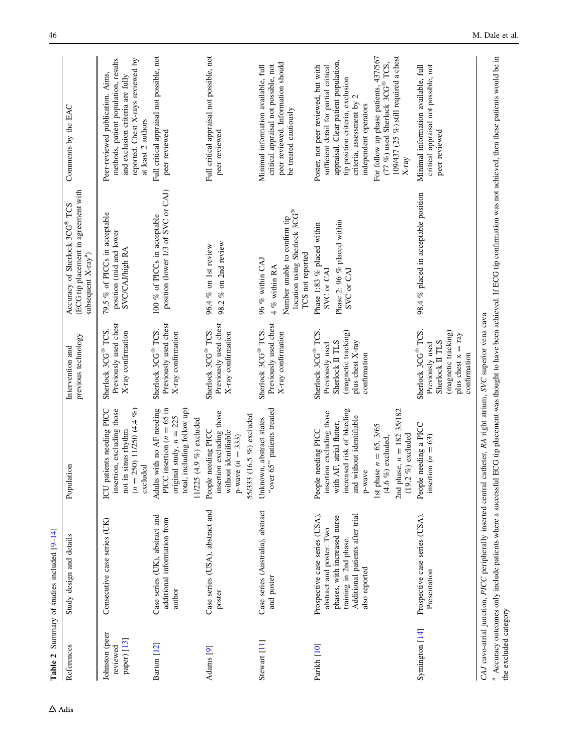<span id="page-5-0"></span>

|                                           | Table 2 Summary of studies included [9-14]                                                                                                                                                |                                                                                                                                                                                                                                       |                                                                                                                         |                                                                                                                                |                                                                                                                                                                                                                                                                                                                                                |
|-------------------------------------------|-------------------------------------------------------------------------------------------------------------------------------------------------------------------------------------------|---------------------------------------------------------------------------------------------------------------------------------------------------------------------------------------------------------------------------------------|-------------------------------------------------------------------------------------------------------------------------|--------------------------------------------------------------------------------------------------------------------------------|------------------------------------------------------------------------------------------------------------------------------------------------------------------------------------------------------------------------------------------------------------------------------------------------------------------------------------------------|
| References                                | Study design and details                                                                                                                                                                  | Population                                                                                                                                                                                                                            | previous technology<br>Intervention and                                                                                 | (ECG tip placement in agreement with<br>Accuracy of Sherlock 3CG® TCS<br>subsequent X-ray <sup>a</sup> )                       | Comments by the EAC                                                                                                                                                                                                                                                                                                                            |
| Johnston (peer<br>paper) [13]<br>reviewed | Consecutive case series (UK)                                                                                                                                                              | ICU patients needing PICC<br>insertion, excluding those<br>$(n = 250)$ 11/250 $(4.4\%)$<br>not in sinus rhythm<br>excluded                                                                                                            | Previously used chest<br>Sherlock 3CG® TCS.<br>X-ray confirmation                                                       | 79.5 % of PICCs in acceptable<br>position (mid and lower<br>SVC/CAJ/high RA                                                    | methods, patient population, results<br>reported. Chest X-rays reviewed by<br>Peer-reviewed publication. Aims,<br>and exclusion criteria are fully<br>at least 2 authors                                                                                                                                                                       |
| Barton [12]                               | Case series (UK), abstract and<br>additional information from<br>author                                                                                                                   | PICC insertion $(n = 65 \text{ in})$<br>total, including follow up)<br>Adults with no AF needing<br>original study, $n = 225$<br>$(4.9\%)$ excluded<br>11/225                                                                         | Previously used chest<br>Sherlock 3CG® TCS.<br>X-ray confirmation                                                       | position (lower 1/3 of SVC or CAJ)<br>100 % of PICCs in acceptable                                                             | Full critical appraisal not possible, not<br>peer reviewed                                                                                                                                                                                                                                                                                     |
| Adams [9]                                 | Case series (USA), abstract and<br>poster                                                                                                                                                 | insertion excluding those<br>55/333 (16.5 %) excluded<br>needing PICC<br>without identifiable<br>$p$ -wave $(n = 333)$<br>People                                                                                                      | Previously used chest<br>Sherlock 3CG® TCS.<br>X-ray confirmation                                                       | 98.2 % on 2nd review<br>96.4 % on 1st review                                                                                   | Full critical appraisal not possible, not<br>peer reviewed                                                                                                                                                                                                                                                                                     |
| Stewart [11]                              | Case series (Australia), abstract<br>and poster                                                                                                                                           | "over 65" patients treated<br>Unknown, abstract states                                                                                                                                                                                | Previously used chest<br>Sherlock 3CG® TCS.<br>X-ray confirmation                                                       | location using Sherlock 3CG®<br>Number unable to confirm tip<br>TCS not reported<br>96 % within CAJ<br>4 % within RA           | peer reviewed. Information should<br>critical appraisal not possible, not<br>Minimal information available, full<br>be treated cautiously                                                                                                                                                                                                      |
| Parikh [10]                               | Prospective case series (USA),<br>Additional patients after trial<br>phases, with increased nurse<br>abstract and poster. Two<br>training in 2nd phase.<br>also reported                  | increased risk of bleeding<br>2nd phase, $n = 182$ 35/182<br>insertion excluding those<br>and without identifiable<br>with AF, atrial flutter,<br>1st phase $n = 65, 3/65$<br>needing PICC<br>$(4.6\%)$ excluded,<br>p-wave<br>People | Sherlock 3CG® TCS<br>(magnetic tracking)<br>Sherlock II TLS<br>plus chest X-ray<br>Previously used<br>confirmation      | Phase 2: 96 % placed within<br>Phase 1:83 % placed within<br>SVC or CAJ<br>SVC or CAJ                                          | For follow up phase patients, 437/567<br>109/437 (25 %) still required a chest<br>appraisal. Clear patient population,<br>$(77\%)$ used Sherlock 3CG® TCS,<br>sufficient detail for partial critical<br>Poster, not peer reviewed, but with<br>tip position criteria, exclusion<br>criteria, assessment by 2<br>independent operators<br>X-ray |
| Symington [14]                            | Prospective case series (USA).<br>Presentation                                                                                                                                            | People needing a PICC<br>$%$ excluded<br>insertion ( $n = 63$ )<br>(19.2)                                                                                                                                                             | Sherlock 3CG® TCS.<br>(magnetic tracking)<br>plus chest $x = ray$<br>Sherlock II TLS<br>Previously used<br>confirmation | 98.4 % placed in acceptable position                                                                                           | critical appraisal not possible, not<br>Minimal information available, full<br>peer reviewed                                                                                                                                                                                                                                                   |
| the excluded category                     | CAJ cavo-atrial junction, PICC peripherally inserted central catheter, RA right atrium, SVC superior vena cava<br><sup>a</sup> Accuracy outcomes only include patients where a successful |                                                                                                                                                                                                                                       |                                                                                                                         | ECG tip placement was thought to have been achieved. If ECG tip confirmation was not achieved, then these patients would be in |                                                                                                                                                                                                                                                                                                                                                |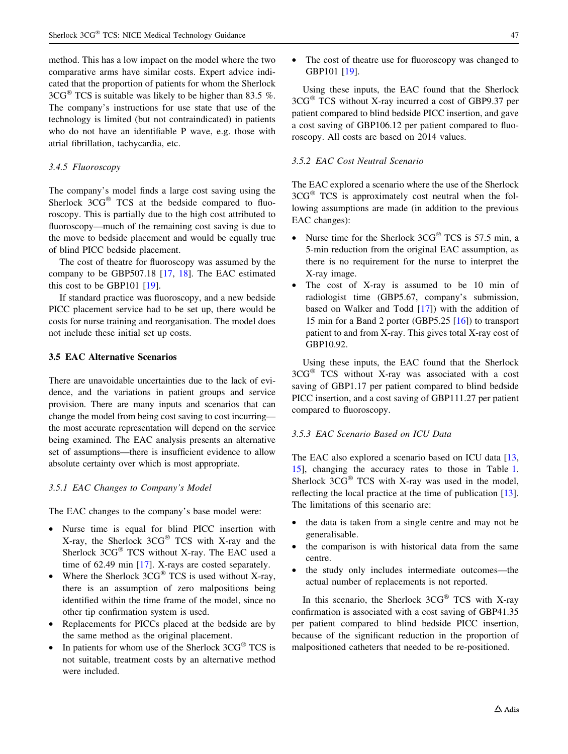method. This has a low impact on the model where the two comparative arms have similar costs. Expert advice indicated that the proportion of patients for whom the Sherlock  $3CG^{\circledast}$  TCS is suitable was likely to be higher than 83.5 %. The company's instructions for use state that use of the technology is limited (but not contraindicated) in patients who do not have an identifiable P wave, e.g. those with atrial fibrillation, tachycardia, etc.

#### 3.4.5 Fluoroscopy

The company's model finds a large cost saving using the Sherlock  $3CG^{\circledast}$  TCS at the bedside compared to fluoroscopy. This is partially due to the high cost attributed to fluoroscopy—much of the remaining cost saving is due to the move to bedside placement and would be equally true of blind PICC bedside placement.

The cost of theatre for fluoroscopy was assumed by the company to be GBP507.18 [[17,](#page-8-0) [18](#page-8-0)]. The EAC estimated this cost to be GBP101 [\[19](#page-8-0)].

If standard practice was fluoroscopy, and a new bedside PICC placement service had to be set up, there would be costs for nurse training and reorganisation. The model does not include these initial set up costs.

#### 3.5 EAC Alternative Scenarios

There are unavoidable uncertainties due to the lack of evidence, and the variations in patient groups and service provision. There are many inputs and scenarios that can change the model from being cost saving to cost incurring the most accurate representation will depend on the service being examined. The EAC analysis presents an alternative set of assumptions—there is insufficient evidence to allow absolute certainty over which is most appropriate.

#### 3.5.1 EAC Changes to Company's Model

The EAC changes to the company's base model were:

- Nurse time is equal for blind PICC insertion with X-ray, the Sherlock  $3CG^{\circledast}$  TCS with X-ray and the Sherlock  $3CG^{\circledast}$  TCS without X-ray. The EAC used a time of 62.49 min [\[17](#page-8-0)]. X-rays are costed separately.
- Where the Sherlock  $3CG^{\circledast}$  TCS is used without X-ray, there is an assumption of zero malpositions being identified within the time frame of the model, since no other tip confirmation system is used.
- Replacements for PICCs placed at the bedside are by the same method as the original placement.
- In patients for whom use of the Sherlock  $3CG^{\circledast}$  TCS is not suitable, treatment costs by an alternative method were included.

• The cost of theatre use for fluoroscopy was changed to GBP101 [[19\]](#page-8-0).

Using these inputs, the EAC found that the Sherlock  $3CG^{\circledast}$  TCS without X-ray incurred a cost of GBP9.37 per patient compared to blind bedside PICC insertion, and gave a cost saving of GBP106.12 per patient compared to fluoroscopy. All costs are based on 2014 values.

# 3.5.2 EAC Cost Neutral Scenario

The EAC explored a scenario where the use of the Sherlock  $3CG^{\otimes}$  TCS is approximately cost neutral when the following assumptions are made (in addition to the previous EAC changes):

- Nurse time for the Sherlock  $3CG^{\circledR}$  TCS is 57.5 min, a 5-min reduction from the original EAC assumption, as there is no requirement for the nurse to interpret the X-ray image.
- The cost of X-ray is assumed to be 10 min of radiologist time (GBP5.67, company's submission, based on Walker and Todd [\[17](#page-8-0)]) with the addition of 15 min for a Band 2 porter (GBP5.25 [[16\]](#page-8-0)) to transport patient to and from X-ray. This gives total X-ray cost of GBP10.92.

Using these inputs, the EAC found that the Sherlock  $3CG^{\circledast}$  TCS without X-ray was associated with a cost saving of GBP1.17 per patient compared to blind bedside PICC insertion, and a cost saving of GBP111.27 per patient compared to fluoroscopy.

#### 3.5.3 EAC Scenario Based on ICU Data

The EAC also explored a scenario based on ICU data [[13,](#page-8-0) [15](#page-8-0)], changing the accuracy rates to those in Table [1.](#page-4-0) Sherlock  $3CG^{\circledast}$  TCS with X-ray was used in the model, reflecting the local practice at the time of publication [\[13](#page-8-0)]. The limitations of this scenario are:

- the data is taken from a single centre and may not be generalisable.
- the comparison is with historical data from the same centre.
- the study only includes intermediate outcomes—the actual number of replacements is not reported.

In this scenario, the Sherlock  $3CG^{\circledast}$  TCS with X-ray confirmation is associated with a cost saving of GBP41.35 per patient compared to blind bedside PICC insertion, because of the significant reduction in the proportion of malpositioned catheters that needed to be re-positioned.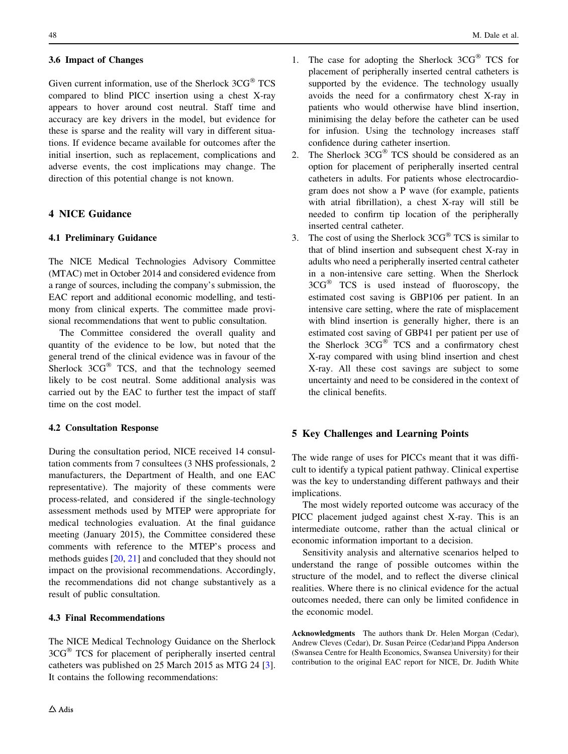## 3.6 Impact of Changes

Given current information, use of the Sherlock  $3CG^{\circledast}$  TCS compared to blind PICC insertion using a chest X-ray appears to hover around cost neutral. Staff time and accuracy are key drivers in the model, but evidence for these is sparse and the reality will vary in different situations. If evidence became available for outcomes after the initial insertion, such as replacement, complications and adverse events, the cost implications may change. The direction of this potential change is not known.

# 4 NICE Guidance

## 4.1 Preliminary Guidance

The NICE Medical Technologies Advisory Committee (MTAC) met in October 2014 and considered evidence from a range of sources, including the company's submission, the EAC report and additional economic modelling, and testimony from clinical experts. The committee made provisional recommendations that went to public consultation.

The Committee considered the overall quality and quantity of the evidence to be low, but noted that the general trend of the clinical evidence was in favour of the Sherlock  $3CG^{\circledast}$  TCS, and that the technology seemed likely to be cost neutral. Some additional analysis was carried out by the EAC to further test the impact of staff time on the cost model.

#### 4.2 Consultation Response

During the consultation period, NICE received 14 consultation comments from 7 consultees (3 NHS professionals, 2 manufacturers, the Department of Health, and one EAC representative). The majority of these comments were process-related, and considered if the single-technology assessment methods used by MTEP were appropriate for medical technologies evaluation. At the final guidance meeting (January 2015), the Committee considered these comments with reference to the MTEP's process and methods guides [\[20](#page-8-0), [21\]](#page-8-0) and concluded that they should not impact on the provisional recommendations. Accordingly, the recommendations did not change substantively as a result of public consultation.

## 4.3 Final Recommendations

The NICE Medical Technology Guidance on the Sherlock  $3CG^{\circledast}$  TCS for placement of peripherally inserted central catheters was published on 25 March 2015 as MTG 24 [\[3](#page-8-0)]. It contains the following recommendations:

- 1. The case for adopting the Sherlock  $3CG^{\circledast}$  TCS for placement of peripherally inserted central catheters is supported by the evidence. The technology usually avoids the need for a confirmatory chest X-ray in patients who would otherwise have blind insertion, minimising the delay before the catheter can be used for infusion. Using the technology increases staff confidence during catheter insertion.
- 2. The Sherlock  $3CG^{\circledast}$  TCS should be considered as an option for placement of peripherally inserted central catheters in adults. For patients whose electrocardiogram does not show a P wave (for example, patients with atrial fibrillation), a chest X-ray will still be needed to confirm tip location of the peripherally inserted central catheter.
- 3. The cost of using the Sherlock  $3CG^{\circledast}$  TCS is similar to that of blind insertion and subsequent chest X-ray in adults who need a peripherally inserted central catheter in a non-intensive care setting. When the Sherlock  $3CG^{\circledR}$  TCS is used instead of fluoroscopy, the estimated cost saving is GBP106 per patient. In an intensive care setting, where the rate of misplacement with blind insertion is generally higher, there is an estimated cost saving of GBP41 per patient per use of the Sherlock 3CG® TCS and a confirmatory chest X-ray compared with using blind insertion and chest X-ray. All these cost savings are subject to some uncertainty and need to be considered in the context of the clinical benefits.

# 5 Key Challenges and Learning Points

The wide range of uses for PICCs meant that it was difficult to identify a typical patient pathway. Clinical expertise was the key to understanding different pathways and their implications.

The most widely reported outcome was accuracy of the PICC placement judged against chest X-ray. This is an intermediate outcome, rather than the actual clinical or economic information important to a decision.

Sensitivity analysis and alternative scenarios helped to understand the range of possible outcomes within the structure of the model, and to reflect the diverse clinical realities. Where there is no clinical evidence for the actual outcomes needed, there can only be limited confidence in the economic model.

Acknowledgments The authors thank Dr. Helen Morgan (Cedar), Andrew Cleves (Cedar), Dr. Susan Peirce (Cedar)and Pippa Anderson (Swansea Centre for Health Economics, Swansea University) for their contribution to the original EAC report for NICE, Dr. Judith White